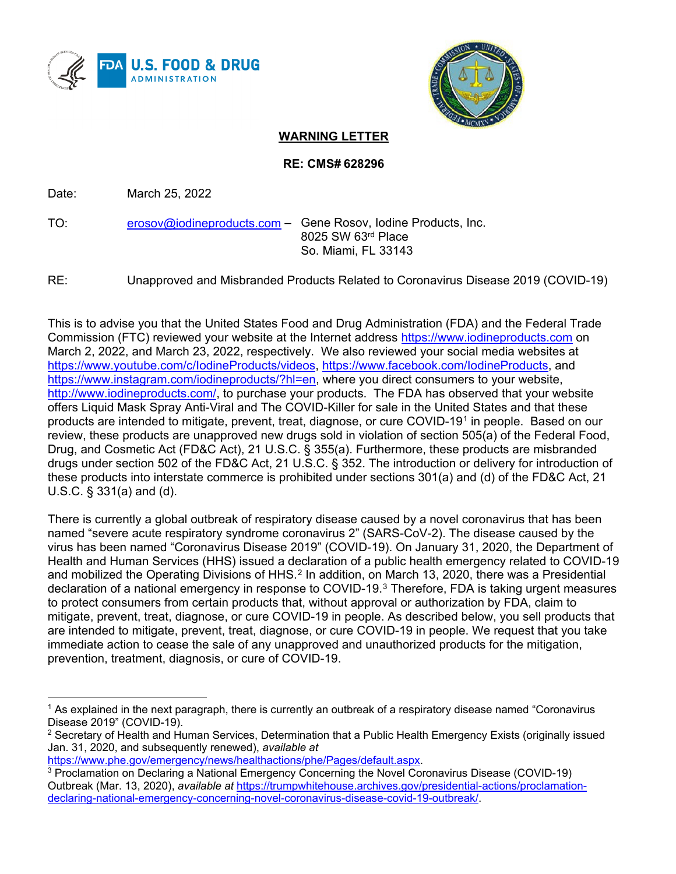



## **WARNING LETTER**

**RE: CMS# 628296**

Date: March 25, 2022

TO: erosov@iodineproducts.com – Gene Rosov, Iodine Products, Inc. 8025 SW 63rd Place So. Miami, FL 33143

RE: Unapproved and Misbranded Products Related to Coronavirus Disease 2019 (COVID-19)

This is to advise you that the United States Food and Drug Administration (FDA) and the Federal Trade Commission (FTC) reviewed your website at the Internet address https://www.iodineproducts.com on March 2, 2022, and March 23, 2022, respectively. We also reviewed your social media websites at https://www.youtube.com/c/IodineProducts/videos, https://www.facebook.com/IodineProducts, and https://www.instagram.com/iodineproducts/?hl=en, where you direct consumers to your website, http://www.iodineproducts.com/, to purchase your products. The FDA has observed that your website offers Liquid Mask Spray Anti-Viral and The COVID-Killer for sale in the United States and that these products are intended to mitigate, prevent, treat, diagnose, or cure COVID-191 in people. Based on our review, these products are unapproved new drugs sold in violation of section 505(a) of the Federal Food, Drug, and Cosmetic Act (FD&C Act), 21 U.S.C. § 355(a). Furthermore, these products are misbranded drugs under section 502 of the FD&C Act, 21 U.S.C. § 352. The introduction or delivery for introduction of these products into interstate commerce is prohibited under sections 301(a) and (d) of the FD&C Act, 21 U.S.C. § 331(a) and (d).

There is currently a global outbreak of respiratory disease caused by a novel coronavirus that has been named "severe acute respiratory syndrome coronavirus 2" (SARS-CoV-2). The disease caused by the virus has been named "Coronavirus Disease 2019" (COVID-19). On January 31, 2020, the Department of Health and Human Services (HHS) issued a declaration of a public health emergency related to COVID-19 and mobilized the Operating Divisions of HHS.<sup>2</sup> In addition, on March 13, 2020, there was a Presidential declaration of a national emergency in response to COVID-19.3 Therefore, FDA is taking urgent measures to protect consumers from certain products that, without approval or authorization by FDA, claim to mitigate, prevent, treat, diagnose, or cure COVID-19 in people. As described below, you sell products that are intended to mitigate, prevent, treat, diagnose, or cure COVID-19 in people. We request that you take immediate action to cease the sale of any unapproved and unauthorized products for the mitigation, prevention, treatment, diagnosis, or cure of COVID-19.

https://www.phe.gov/emergency/news/healthactions/phe/Pages/default.aspx.

<sup>&</sup>lt;sup>1</sup> As explained in the next paragraph, there is currently an outbreak of a respiratory disease named "Coronavirus Disease 2019" (COVID-19).

 $2$  Secretary of Health and Human Services, Determination that a Public Health Emergency Exists (originally issued Jan. 31, 2020, and subsequently renewed), *available at*

<sup>3</sup> Proclamation on Declaring a National Emergency Concerning the Novel Coronavirus Disease (COVID-19) Outbreak (Mar. 13, 2020), *available at* https://trumpwhitehouse.archives.gov/presidential-actions/proclamationdeclaring-national-emergency-concerning-novel-coronavirus-disease-covid-19-outbreak/.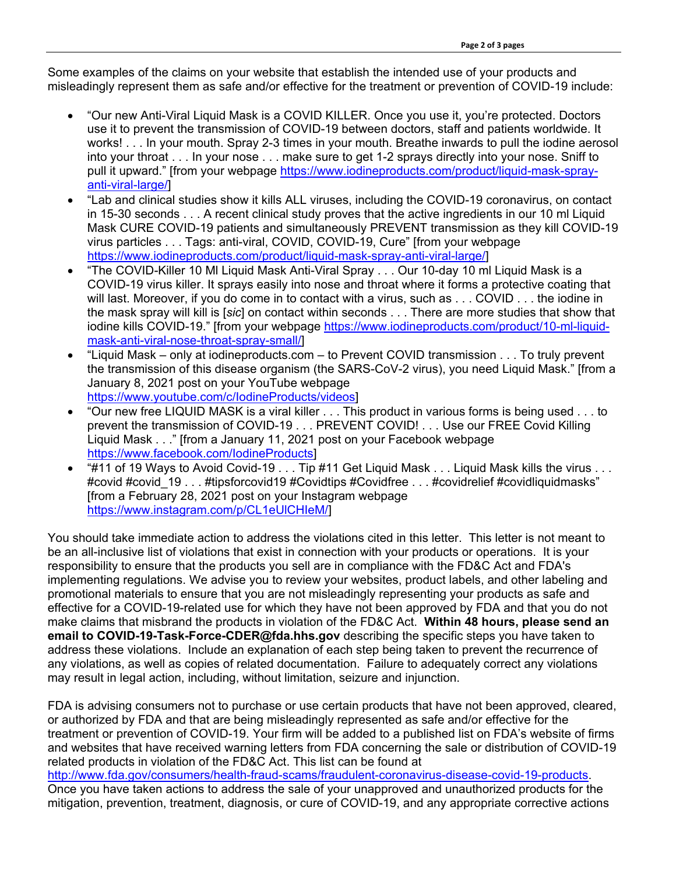Some examples of the claims on your website that establish the intended use of your products and misleadingly represent them as safe and/or effective for the treatment or prevention of COVID-19 include:

- "Our new Anti-Viral Liquid Mask is a COVID KILLER. Once you use it, you're protected. Doctors use it to prevent the transmission of COVID-19 between doctors, staff and patients worldwide. It works! . . . In your mouth. Spray 2-3 times in your mouth. Breathe inwards to pull the iodine aerosol into your throat . . . In your nose . . . make sure to get 1-2 sprays directly into your nose. Sniff to pull it upward." [from your webpage https://www.iodineproducts.com/product/liquid-mask-sprayanti-viral-large/]
- "Lab and clinical studies show it kills ALL viruses, including the COVID-19 coronavirus, on contact in 15-30 seconds . . . A recent clinical study proves that the active ingredients in our 10 ml Liquid Mask CURE COVID-19 patients and simultaneously PREVENT transmission as they kill COVID-19 virus particles . . . Tags: anti-viral, COVID, COVID-19, Cure" [from your webpage https://www.iodineproducts.com/product/liquid-mask-spray-anti-viral-large/]
- "The COVID-Killer 10 Ml Liquid Mask Anti-Viral Spray . . . Our 10-day 10 ml Liquid Mask is a COVID-19 virus killer. It sprays easily into nose and throat where it forms a protective coating that will last. Moreover, if you do come in to contact with a virus, such as . . . COVID . . . the iodine in the mask spray will kill is [*sic*] on contact within seconds . . . There are more studies that show that iodine kills COVID-19." [from your webpage https://www.iodineproducts.com/product/10-ml-liquidmask-anti-viral-nose-throat-spray-small/]
- "Liquid Mask only at iodineproducts.com to Prevent COVID transmission . . . To truly prevent the transmission of this disease organism (the SARS-CoV-2 virus), you need Liquid Mask." [from a January 8, 2021 post on your YouTube webpage https://www.youtube.com/c/IodineProducts/videos]
- "Our new free LIQUID MASK is a viral killer . . . This product in various forms is being used . . . to prevent the transmission of COVID-19 . . . PREVENT COVID! . . . Use our FREE Covid Killing Liquid Mask . . ." [from a January 11, 2021 post on your Facebook webpage https://www.facebook.com/IodineProducts]
- "#11 of 19 Ways to Avoid Covid-19 . . . Tip #11 Get Liquid Mask . . . Liquid Mask kills the virus . . . #covid #covid 19 . . . #tipsforcovid19 #Covidtips #Covidfree . . . #covidrelief #covidliquidmasks" [from a February 28, 2021 post on your Instagram webpage https://www.instagram.com/p/CL1eUlCHIeM/]

You should take immediate action to address the violations cited in this letter. This letter is not meant to be an all-inclusive list of violations that exist in connection with your products or operations. It is your responsibility to ensure that the products you sell are in compliance with the FD&C Act and FDA's implementing regulations. We advise you to review your websites, product labels, and other labeling and promotional materials to ensure that you are not misleadingly representing your products as safe and effective for a COVID-19-related use for which they have not been approved by FDA and that you do not make claims that misbrand the products in violation of the FD&C Act. **Within 48 hours, please send an email to COVID-19-Task-Force-CDER@fda.hhs.gov** describing the specific steps you have taken to address these violations. Include an explanation of each step being taken to prevent the recurrence of any violations, as well as copies of related documentation. Failure to adequately correct any violations may result in legal action, including, without limitation, seizure and injunction.

FDA is advising consumers not to purchase or use certain products that have not been approved, cleared, or authorized by FDA and that are being misleadingly represented as safe and/or effective for the treatment or prevention of COVID-19. Your firm will be added to a published list on FDA's website of firms and websites that have received warning letters from FDA concerning the sale or distribution of COVID-19 related products in violation of the FD&C Act. This list can be found at http://www.fda.gov/consumers/health-fraud-scams/fraudulent-coronavirus-disease-covid-19-products. Once you have taken actions to address the sale of your unapproved and unauthorized products for the

mitigation, prevention, treatment, diagnosis, or cure of COVID-19, and any appropriate corrective actions